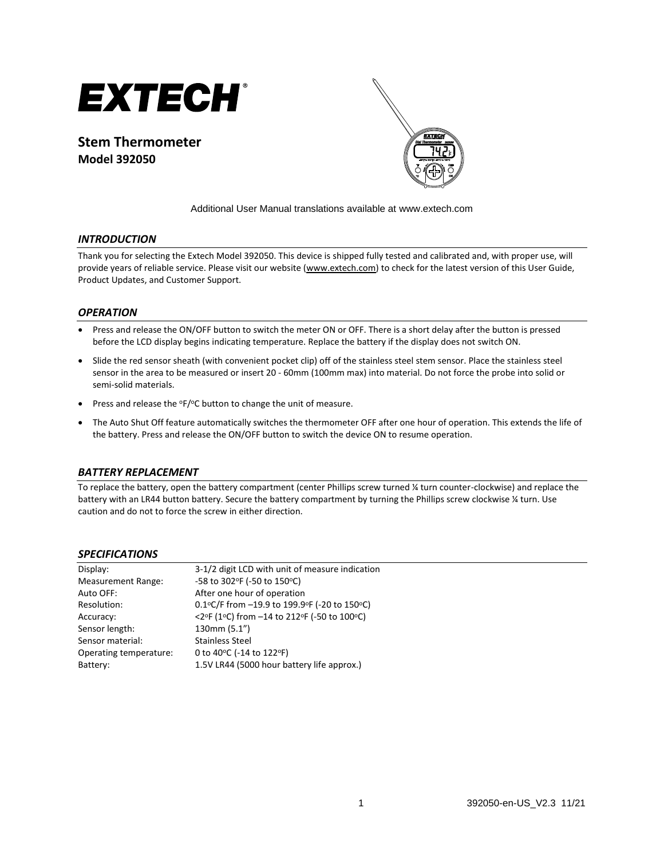

**Stem Thermometer Model 392050**



Additional User Manual translations available at [www.extech.com](http://www.extech.com/)

## *INTRODUCTION*

Thank you for selecting the Extech Model 392050. This device is shipped fully tested and calibrated and, with proper use, will provide years of reliable service. Please visit our website [\(www.extech.com\)](http://www.extech.com/) to check for the latest version of this User Guide, Product Updates, and Customer Support.

#### *OPERATION*

- Press and release the ON/OFF button to switch the meter ON or OFF. There is a short delay after the button is pressed before the LCD display begins indicating temperature. Replace the battery if the display does not switch ON.
- Slide the red sensor sheath (with convenient pocket clip) off of the stainless steel stem sensor. Place the stainless steel sensor in the area to be measured or insert 20 - 60mm (100mm max) into material. Do not force the probe into solid or semi-solid materials.
- Press and release the  $\degree$ F/ $\degree$ C button to change the unit of measure.
- The Auto Shut Off feature automatically switches the thermometer OFF after one hour of operation. This extends the life of the battery. Press and release the ON/OFF button to switch the device ON to resume operation.

#### *BATTERY REPLACEMENT*

To replace the battery, open the battery compartment (center Phillips screw turned ¼ turn counter-clockwise) and replace the battery with an LR44 button battery. Secure the battery compartment by turning the Phillips screw clockwise ¼ turn. Use caution and do not to force the screw in either direction.

#### *SPECIFICATIONS*

| 3-1/2 digit LCD with unit of measure indication |
|-------------------------------------------------|
| -58 to 302°F (-50 to 150°C)                     |
| After one hour of operation                     |
| 0.1°C/F from -19.9 to 199.9°F (-20 to 150°C)    |
| <2°F (1°C) from -14 to 212°F (-50 to 100°C)     |
| 130mm (5.1")                                    |
| <b>Stainless Steel</b>                          |
| 0 to 40°C (-14 to 122°F)                        |
| 1.5V LR44 (5000 hour battery life approx.)      |
|                                                 |